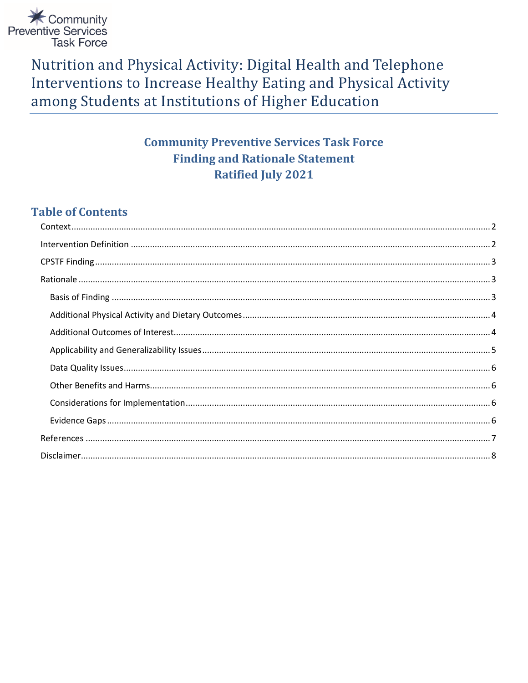

Nutrition and Physical Activity: Digital Health and Telephone Interventions to Increase Healthy Eating and Physical Activity among Students at Institutions of Higher Education

# **Community Preventive Services Task Force Finding and Rationale Statement Ratified July 2021**

# **Table of Contents**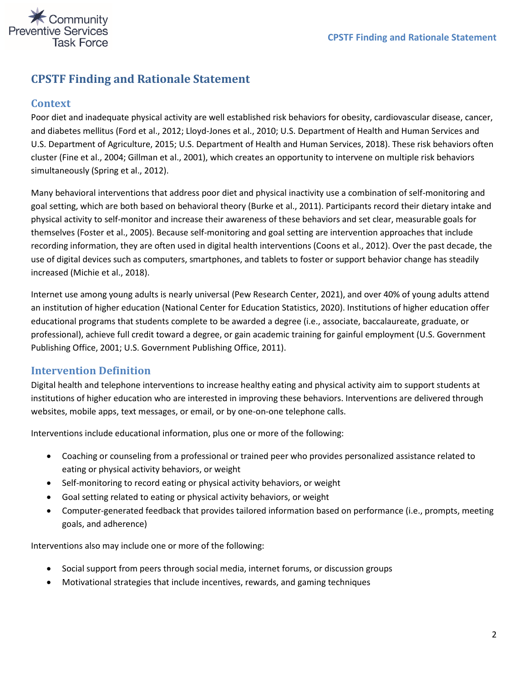

## **CPSTF Finding and Rationale Statement**

#### <span id="page-1-0"></span>**Context**

Poor diet and inadequate physical activity are well established risk behaviors for obesity, cardiovascular disease, cancer, and diabetes mellitus (Ford et al., 2012; Lloyd-Jones et al., 2010; U.S. Department of Health and Human Services and U.S. Department of Agriculture, 2015; U.S. Department of Health and Human Services, 2018). These risk behaviors often cluster (Fine et al., 2004; Gillman et al., 2001), which creates an opportunity to intervene on multiple risk behaviors simultaneously (Spring et al., 2012).

Many behavioral interventions that address poor diet and physical inactivity use a combination of self-monitoring and goal setting, which are both based on behavioral theory (Burke et al., 2011). Participants record their dietary intake and physical activity to self-monitor and increase their awareness of these behaviors and set clear, measurable goals for themselves (Foster et al., 2005). Because self-monitoring and goal setting are intervention approaches that include recording information, they are often used in digital health interventions (Coons et al., 2012). Over the past decade, the use of digital devices such as computers, smartphones, and tablets to foster or support behavior change has steadily increased (Michie et al., 2018).

Internet use among young adults is nearly universal (Pew Research Center, 2021), and over 40% of young adults attend an institution of higher education (National Center for Education Statistics, 2020). Institutions of higher education offer educational programs that students complete to be awarded a degree (i.e., associate, baccalaureate, graduate, or professional), achieve full credit toward a degree, or gain academic training for gainful employment (U.S. Government Publishing Office, 2001; U.S. Government Publishing Office, 2011).

#### <span id="page-1-1"></span>**Intervention Definition**

Digital health and telephone interventions to increase healthy eating and physical activity aim to support students at institutions of higher education who are interested in improving these behaviors. Interventions are delivered through websites, mobile apps, text messages, or email, or by one-on-one telephone calls.

Interventions include educational information, plus one or more of the following:

- Coaching or counseling from a professional or trained peer who provides personalized assistance related to eating or physical activity behaviors, or weight
- Self-monitoring to record eating or physical activity behaviors, or weight
- Goal setting related to eating or physical activity behaviors, or weight
- Computer-generated feedback that provides tailored information based on performance (i.e., prompts, meeting goals, and adherence)

Interventions also may include one or more of the following:

- Social support from peers through social media, internet forums, or discussion groups
- Motivational strategies that include incentives, rewards, and gaming techniques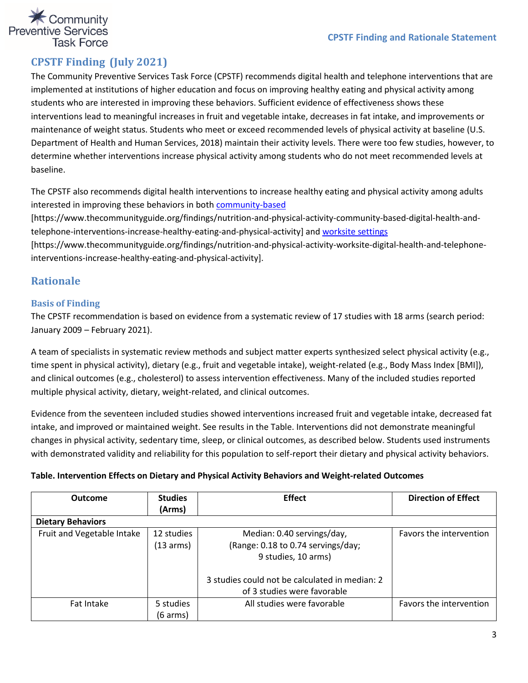

# <span id="page-2-0"></span>**CPSTF Finding (July 2021)**

The Community Preventive Services Task Force (CPSTF) recommends digital health and telephone interventions that are implemented at institutions of higher education and focus on improving healthy eating and physical activity among students who are interested in improving these behaviors. Sufficient evidence of effectiveness shows these interventions lead to meaningful increases in fruit and vegetable intake, decreases in fat intake, and improvements or maintenance of weight status. Students who meet or exceed recommended levels of physical activity at baseline (U.S. Department of Health and Human Services, 2018) maintain their activity levels. There were too few studies, however, to determine whether interventions increase physical activity among students who do not meet recommended levels at baseline.

The CPSTF also recommends digital health interventions to increase healthy eating and physical activity among adults interested in improving these behaviors in bot[h community-based](https://www.thecommunityguide.org/findings/nutrition-and-physical-activity-community-based-digital-health-and-telephone-interventions-increase-healthy-eating-and-physical-activity)

[https://www.thecommunityguide.org/findings/nutrition-and-physical-activity-community-based-digital-health-andtelephone-interventions-increase-healthy-eating-and-physical-activity] and [worksite settings](https://www.thecommunityguide.org/findings/nutrition-and-physical-activity-worksite-digital-health-and-telephone-interventions-increase-healthy-eating-and-physical-activity)

[https://www.thecommunityguide.org/findings/nutrition-and-physical-activity-worksite-digital-health-and-telephoneinterventions-increase-healthy-eating-and-physical-activity].

### <span id="page-2-1"></span>**Rationale**

#### <span id="page-2-2"></span>**Basis of Finding**

The CPSTF recommendation is based on evidence from a systematic review of 17 studies with 18 arms (search period: January 2009 – February 2021).

A team of specialists in systematic review methods and subject matter experts synthesized select physical activity (e.g., time spent in physical activity), dietary (e.g., fruit and vegetable intake), weight-related (e.g., Body Mass Index [BMI]), and clinical outcomes (e.g., cholesterol) to assess intervention effectiveness. Many of the included studies reported multiple physical activity, dietary, weight-related, and clinical outcomes.

Evidence from the seventeen included studies showed interventions increased fruit and vegetable intake, decreased fat intake, and improved or maintained weight. See results in the Table. Interventions did not demonstrate meaningful changes in physical activity, sedentary time, sleep, or clinical outcomes, as described below. Students used instruments with demonstrated validity and reliability for this population to self-report their dietary and physical activity behaviors.

#### **Table. Intervention Effects on Dietary and Physical Activity Behaviors and Weight-related Outcomes**

| <b>Outcome</b>             | <b>Studies</b>      | <b>Effect</b>                                  | <b>Direction of Effect</b> |
|----------------------------|---------------------|------------------------------------------------|----------------------------|
|                            | (Arms)              |                                                |                            |
| <b>Dietary Behaviors</b>   |                     |                                                |                            |
| Fruit and Vegetable Intake | 12 studies          | Median: 0.40 servings/day,                     | Favors the intervention    |
|                            | $(13 \text{ arms})$ | (Range: 0.18 to 0.74 servings/day;             |                            |
|                            |                     | 9 studies, 10 arms)                            |                            |
|                            |                     | 3 studies could not be calculated in median: 2 |                            |
|                            |                     | of 3 studies were favorable                    |                            |
| Fat Intake                 | 5 studies           | All studies were favorable                     | Favors the intervention    |
|                            | (6 arms)            |                                                |                            |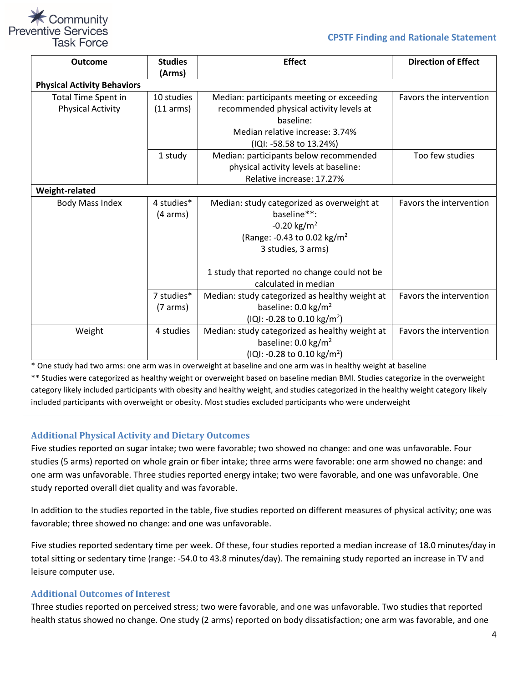# Community ve Services **Task Force**

| <b>Outcome</b>                     | <b>Studies</b>      | <b>Effect</b>                                  | <b>Direction of Effect</b> |
|------------------------------------|---------------------|------------------------------------------------|----------------------------|
|                                    | (Arms)              |                                                |                            |
| <b>Physical Activity Behaviors</b> |                     |                                                |                            |
| <b>Total Time Spent in</b>         | 10 studies          | Median: participants meeting or exceeding      | Favors the intervention    |
| <b>Physical Activity</b>           | $(11 \text{ arms})$ | recommended physical activity levels at        |                            |
|                                    |                     | baseline:                                      |                            |
|                                    |                     | Median relative increase: 3.74%                |                            |
|                                    |                     | (IQI: -58.58 to 13.24%)                        |                            |
|                                    | 1 study             | Median: participants below recommended         | Too few studies            |
|                                    |                     | physical activity levels at baseline:          |                            |
|                                    |                     | Relative increase: 17.27%                      |                            |
| Weight-related                     |                     |                                                |                            |
| Body Mass Index                    | 4 studies*          | Median: study categorized as overweight at     | Favors the intervention    |
|                                    | $(4 \text{ arms})$  | baseline**:                                    |                            |
|                                    |                     | $-0.20$ kg/m <sup>2</sup>                      |                            |
|                                    |                     | (Range: -0.43 to 0.02 kg/m <sup>2</sup>        |                            |
|                                    |                     | 3 studies, 3 arms)                             |                            |
|                                    |                     |                                                |                            |
|                                    |                     | 1 study that reported no change could not be   |                            |
|                                    |                     | calculated in median                           |                            |
|                                    | 7 studies*          | Median: study categorized as healthy weight at | Favors the intervention    |
|                                    | $(7 \text{ arms})$  | baseline: $0.0 \text{ kg/m}^2$                 |                            |
|                                    |                     | (IQI: -0.28 to 0.10 kg/m <sup>2</sup> )        |                            |
| Weight                             | 4 studies           | Median: study categorized as healthy weight at | Favors the intervention    |
|                                    |                     | baseline: $0.0 \text{ kg/m}^2$                 |                            |
|                                    |                     | (IQI: -0.28 to 0.10 kg/m <sup>2</sup> )        |                            |

\* One study had two arms: one arm was in overweight at baseline and one arm was in healthy weight at baseline

\*\* Studies were categorized as healthy weight or overweight based on baseline median BMI. Studies categorize in the overweight category likely included participants with obesity and healthy weight, and studies categorized in the healthy weight category likely included participants with overweight or obesity. Most studies excluded participants who were underweight

#### <span id="page-3-0"></span>**Additional Physical Activity and Dietary Outcomes**

Five studies reported on sugar intake; two were favorable; two showed no change: and one was unfavorable. Four studies (5 arms) reported on whole grain or fiber intake; three arms were favorable: one arm showed no change: and one arm was unfavorable. Three studies reported energy intake; two were favorable, and one was unfavorable. One study reported overall diet quality and was favorable.

In addition to the studies reported in the table, five studies reported on different measures of physical activity; one was favorable; three showed no change: and one was unfavorable.

Five studies reported sedentary time per week. Of these, four studies reported a median increase of 18.0 minutes/day in total sitting or sedentary time (range: -54.0 to 43.8 minutes/day). The remaining study reported an increase in TV and leisure computer use.

#### <span id="page-3-1"></span>**Additional Outcomes of Interest**

Three studies reported on perceived stress; two were favorable, and one was unfavorable. Two studies that reported health status showed no change. One study (2 arms) reported on body dissatisfaction; one arm was favorable, and one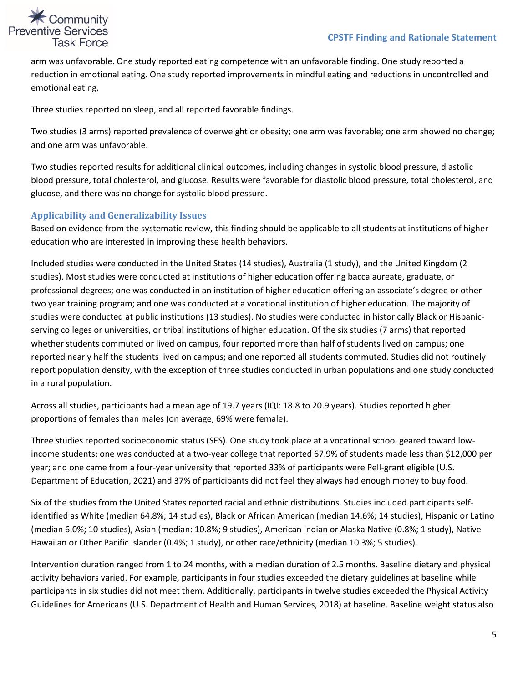## Community **Preventive Services Task Force**

arm was unfavorable. One study reported eating competence with an unfavorable finding. One study reported a reduction in emotional eating. One study reported improvements in mindful eating and reductions in uncontrolled and emotional eating.

Three studies reported on sleep, and all reported favorable findings.

Two studies (3 arms) reported prevalence of overweight or obesity; one arm was favorable; one arm showed no change; and one arm was unfavorable.

Two studies reported results for additional clinical outcomes, including changes in systolic blood pressure, diastolic blood pressure, total cholesterol, and glucose. Results were favorable for diastolic blood pressure, total cholesterol, and glucose, and there was no change for systolic blood pressure.

#### <span id="page-4-0"></span>**Applicability and Generalizability Issues**

Based on evidence from the systematic review, this finding should be applicable to all students at institutions of higher education who are interested in improving these health behaviors.

Included studies were conducted in the United States (14 studies), Australia (1 study), and the United Kingdom (2 studies). Most studies were conducted at institutions of higher education offering baccalaureate, graduate, or professional degrees; one was conducted in an institution of higher education offering an associate's degree or other two year training program; and one was conducted at a vocational institution of higher education. The majority of studies were conducted at public institutions (13 studies). No studies were conducted in historically Black or Hispanicserving colleges or universities, or tribal institutions of higher education. Of the six studies (7 arms) that reported whether students commuted or lived on campus, four reported more than half of students lived on campus; one reported nearly half the students lived on campus; and one reported all students commuted. Studies did not routinely report population density, with the exception of three studies conducted in urban populations and one study conducted in a rural population.

Across all studies, participants had a mean age of 19.7 years (IQI: 18.8 to 20.9 years). Studies reported higher proportions of females than males (on average, 69% were female).

Three studies reported socioeconomic status (SES). One study took place at a vocational school geared toward lowincome students; one was conducted at a two-year college that reported 67.9% of students made less than \$12,000 per year; and one came from a four-year university that reported 33% of participants were Pell-grant eligible (U.S. Department of Education, 2021) and 37% of participants did not feel they always had enough money to buy food.

Six of the studies from the United States reported racial and ethnic distributions. Studies included participants selfidentified as White (median 64.8%; 14 studies), Black or African American (median 14.6%; 14 studies), Hispanic or Latino (median 6.0%; 10 studies), Asian (median: 10.8%; 9 studies), American Indian or Alaska Native (0.8%; 1 study), Native Hawaiian or Other Pacific Islander (0.4%; 1 study), or other race/ethnicity (median 10.3%; 5 studies).

Intervention duration ranged from 1 to 24 months, with a median duration of 2.5 months. Baseline dietary and physical activity behaviors varied. For example, participants in four studies exceeded the dietary guidelines at baseline while participants in six studies did not meet them. Additionally, participants in twelve studies exceeded the Physical Activity Guidelines for Americans (U.S. Department of Health and Human Services, 2018) at baseline. Baseline weight status also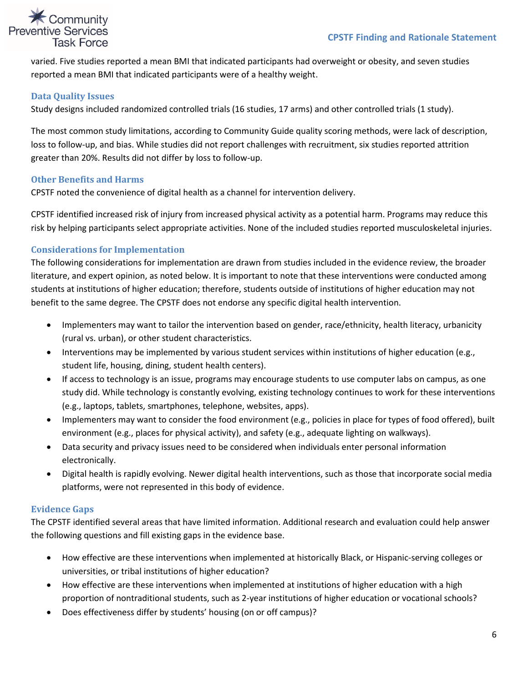## Community **Preventive Services Task Force**

varied. Five studies reported a mean BMI that indicated participants had overweight or obesity, and seven studies reported a mean BMI that indicated participants were of a healthy weight.

#### <span id="page-5-0"></span>**Data Quality Issues**

Study designs included randomized controlled trials (16 studies, 17 arms) and other controlled trials (1 study).

The most common study limitations, according to Community Guide quality scoring methods, were lack of description, loss to follow-up, and bias. While studies did not report challenges with recruitment, six studies reported attrition greater than 20%. Results did not differ by loss to follow-up.

#### <span id="page-5-1"></span>**Other Benefits and Harms**

CPSTF noted the convenience of digital health as a channel for intervention delivery.

CPSTF identified increased risk of injury from increased physical activity as a potential harm. Programs may reduce this risk by helping participants select appropriate activities. None of the included studies reported musculoskeletal injuries.

### <span id="page-5-2"></span>**Considerations for Implementation**

The following considerations for implementation are drawn from studies included in the evidence review, the broader literature, and expert opinion, as noted below. It is important to note that these interventions were conducted among students at institutions of higher education; therefore, students outside of institutions of higher education may not benefit to the same degree. The CPSTF does not endorse any specific digital health intervention.

- Implementers may want to tailor the intervention based on gender, race/ethnicity, health literacy, urbanicity (rural vs. urban), or other student characteristics.
- Interventions may be implemented by various student services within institutions of higher education (e.g., student life, housing, dining, student health centers).
- If access to technology is an issue, programs may encourage students to use computer labs on campus, as one study did. While technology is constantly evolving, existing technology continues to work for these interventions (e.g., laptops, tablets, smartphones, telephone, websites, apps).
- Implementers may want to consider the food environment (e.g., policies in place for types of food offered), built environment (e.g., places for physical activity), and safety (e.g., adequate lighting on walkways).
- Data security and privacy issues need to be considered when individuals enter personal information electronically.
- Digital health is rapidly evolving. Newer digital health interventions, such as those that incorporate social media platforms, were not represented in this body of evidence.

### <span id="page-5-3"></span>**Evidence Gaps**

The CPSTF identified several areas that have limited information. Additional research and evaluation could help answer the following questions and fill existing gaps in the evidence base.

- How effective are these interventions when implemented at historically Black, or Hispanic-serving colleges or universities, or tribal institutions of higher education?
- How effective are these interventions when implemented at institutions of higher education with a high proportion of nontraditional students, such as 2-year institutions of higher education or vocational schools?
- Does effectiveness differ by students' housing (on or off campus)?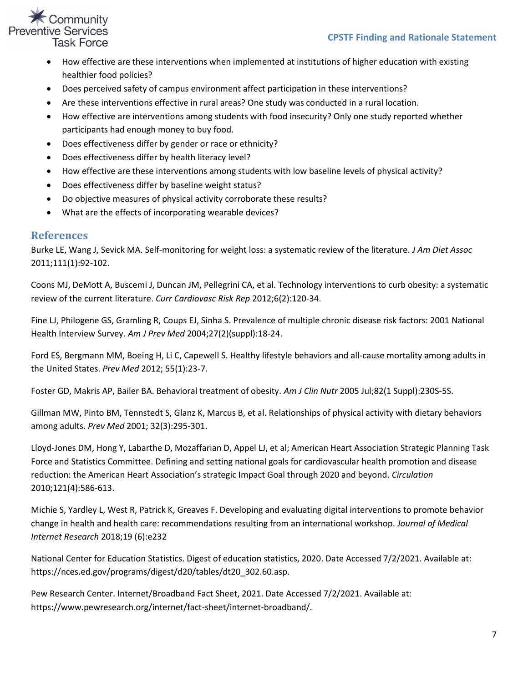# Community ive Services **Task Force**

- How effective are these interventions when implemented at institutions of higher education with existing healthier food policies?
- Does perceived safety of campus environment affect participation in these interventions?
- Are these interventions effective in rural areas? One study was conducted in a rural location.
- How effective are interventions among students with food insecurity? Only one study reported whether participants had enough money to buy food.
- Does effectiveness differ by gender or race or ethnicity?
- Does effectiveness differ by health literacy level?
- How effective are these interventions among students with low baseline levels of physical activity?
- Does effectiveness differ by baseline weight status?
- Do objective measures of physical activity corroborate these results?
- What are the effects of incorporating wearable devices?

### <span id="page-6-0"></span>**References**

Burke LE, Wang J, Sevick MA. Self-monitoring for weight loss: a systematic review of the literature. *J Am Diet Assoc* 2011;111(1):92-102.

Coons MJ, DeMott A, Buscemi J, Duncan JM, Pellegrini CA, et al. Technology interventions to curb obesity: a systematic review of the current literature. *Curr Cardiovasc Risk Rep* 2012;6(2):120-34.

Fine LJ, Philogene GS, Gramling R, Coups EJ, Sinha S. Prevalence of multiple chronic disease risk factors: 2001 National Health Interview Survey. *Am J Prev Med* 2004;27(2)(suppl):18-24.

Ford ES, Bergmann MM, Boeing H, Li C, Capewell S. Healthy lifestyle behaviors and all-cause mortality among adults in the United States. *Prev Med* 2012; 55(1):23-7.

Foster GD, Makris AP, Bailer BA. Behavioral treatment of obesity. *Am J Clin Nutr* 2005 Jul;82(1 Suppl):230S-5S.

Gillman MW, Pinto BM, Tennstedt S, Glanz K, Marcus B, et al. Relationships of physical activity with dietary behaviors among adults. *Prev Med* 2001; 32(3):295-301.

Lloyd-Jones DM, Hong Y, Labarthe D, Mozaffarian D, Appel LJ, et al; American Heart Association Strategic Planning Task Force and Statistics Committee. Defining and setting national goals for cardiovascular health promotion and disease reduction: the American Heart Association's strategic Impact Goal through 2020 and beyond. *Circulation* 2010;121(4):586-613.

Michie S, Yardley L, West R, Patrick K, Greaves F. Developing and evaluating digital interventions to promote behavior change in health and health care: recommendations resulting from an international workshop. *Journal of Medical Internet Research* 2018;19 (6):e232

National Center for Education Statistics. Digest of education statistics, 2020. Date Accessed 7/2/2021. Available at: https://nces.ed.gov/programs/digest/d20/tables/dt20\_302.60.asp.

Pew Research Center. Internet/Broadband Fact Sheet, 2021. Date Accessed 7/2/2021. Available at: https://www.pewresearch.org/internet/fact-sheet/internet-broadband/.